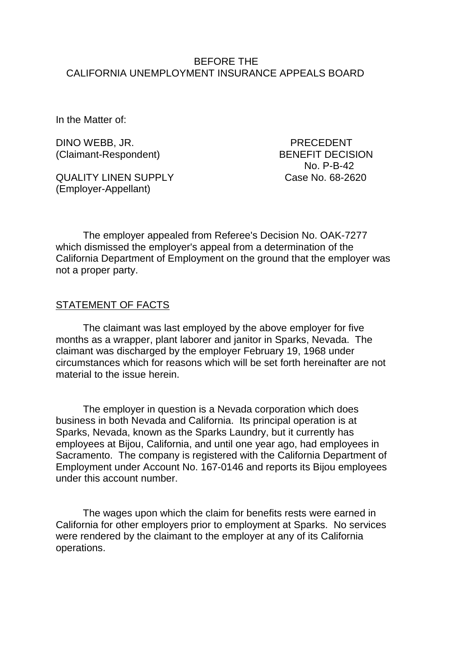#### BEFORE THE CALIFORNIA UNEMPLOYMENT INSURANCE APPEALS BOARD

In the Matter of:

DINO WEBB, JR. PRECEDENT (Claimant-Respondent) BENEFIT DECISION

QUALITY LINEN SUPPLY Case No. 68-2620 (Employer-Appellant)

No. P-B-42

The employer appealed from Referee's Decision No. OAK-7277 which dismissed the employer's appeal from a determination of the California Department of Employment on the ground that the employer was not a proper party.

#### STATEMENT OF FACTS

The claimant was last employed by the above employer for five months as a wrapper, plant laborer and janitor in Sparks, Nevada. The claimant was discharged by the employer February 19, 1968 under circumstances which for reasons which will be set forth hereinafter are not material to the issue herein.

The employer in question is a Nevada corporation which does business in both Nevada and California. Its principal operation is at Sparks, Nevada, known as the Sparks Laundry, but it currently has employees at Bijou, California, and until one year ago, had employees in Sacramento. The company is registered with the California Department of Employment under Account No. 167-0146 and reports its Bijou employees under this account number.

The wages upon which the claim for benefits rests were earned in California for other employers prior to employment at Sparks. No services were rendered by the claimant to the employer at any of its California operations.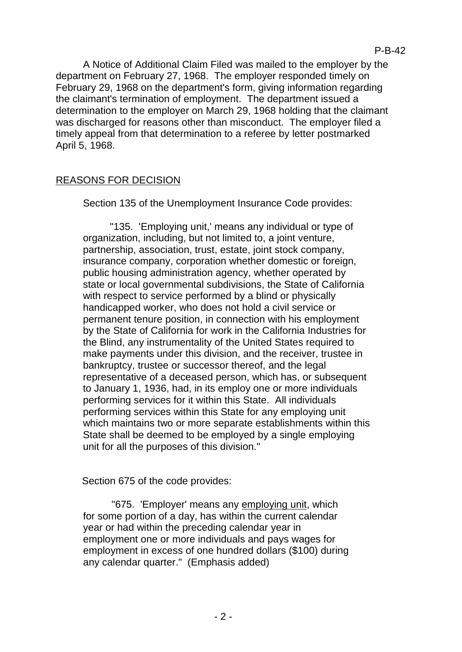A Notice of Additional Claim Filed was mailed to the employer by the department on February 27, 1968. The employer responded timely on February 29, 1968 on the department's form, giving information regarding the claimant's termination of employment. The department issued a determination to the employer on March 29, 1968 holding that the claimant was discharged for reasons other than misconduct. The employer filed a timely appeal from that determination to a referee by letter postmarked April 5, 1968.

# REASONS FOR DECISION

Section 135 of the Unemployment Insurance Code provides:

"135. 'Employing unit,' means any individual or type of organization, including, but not limited to, a joint venture, partnership, association, trust, estate, joint stock company, insurance company, corporation whether domestic or foreign, public housing administration agency, whether operated by state or local governmental subdivisions, the State of California with respect to service performed by a blind or physically handicapped worker, who does not hold a civil service or permanent tenure position, in connection with his employment by the State of California for work in the California Industries for the Blind, any instrumentality of the United States required to make payments under this division, and the receiver, trustee in bankruptcy, trustee or successor thereof, and the legal representative of a deceased person, which has, or subsequent to January 1, 1936, had, in its employ one or more individuals performing services for it within this State. All individuals performing services within this State for any employing unit which maintains two or more separate establishments within this State shall be deemed to be employed by a single employing unit for all the purposes of this division."

Section 675 of the code provides:

"675. 'Employer' means any employing unit, which for some portion of a day, has within the current calendar year or had within the preceding calendar year in employment one or more individuals and pays wages for employment in excess of one hundred dollars (\$100) during any calendar quarter." (Emphasis added)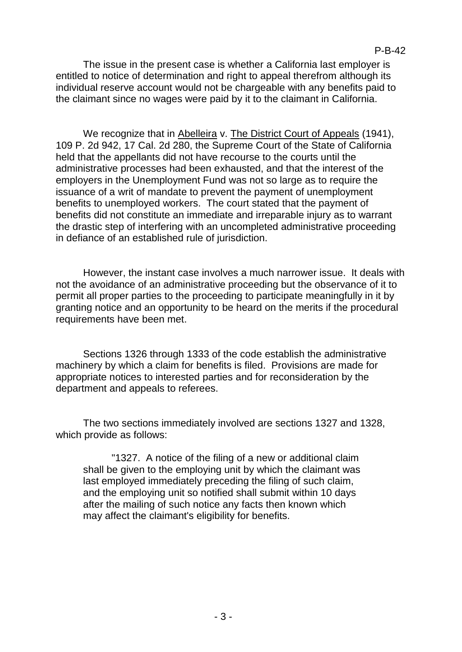#### P-B-42

The issue in the present case is whether a California last employer is entitled to notice of determination and right to appeal therefrom although its individual reserve account would not be chargeable with any benefits paid to the claimant since no wages were paid by it to the claimant in California.

We recognize that in Abelleira v. The District Court of Appeals (1941), 109 P. 2d 942, 17 Cal. 2d 280, the Supreme Court of the State of California held that the appellants did not have recourse to the courts until the administrative processes had been exhausted, and that the interest of the employers in the Unemployment Fund was not so large as to require the issuance of a writ of mandate to prevent the payment of unemployment benefits to unemployed workers. The court stated that the payment of benefits did not constitute an immediate and irreparable injury as to warrant the drastic step of interfering with an uncompleted administrative proceeding in defiance of an established rule of jurisdiction.

However, the instant case involves a much narrower issue. It deals with not the avoidance of an administrative proceeding but the observance of it to permit all proper parties to the proceeding to participate meaningfully in it by granting notice and an opportunity to be heard on the merits if the procedural requirements have been met.

Sections 1326 through 1333 of the code establish the administrative machinery by which a claim for benefits is filed. Provisions are made for appropriate notices to interested parties and for reconsideration by the department and appeals to referees.

The two sections immediately involved are sections 1327 and 1328, which provide as follows:

"1327. A notice of the filing of a new or additional claim shall be given to the employing unit by which the claimant was last employed immediately preceding the filing of such claim, and the employing unit so notified shall submit within 10 days after the mailing of such notice any facts then known which may affect the claimant's eligibility for benefits.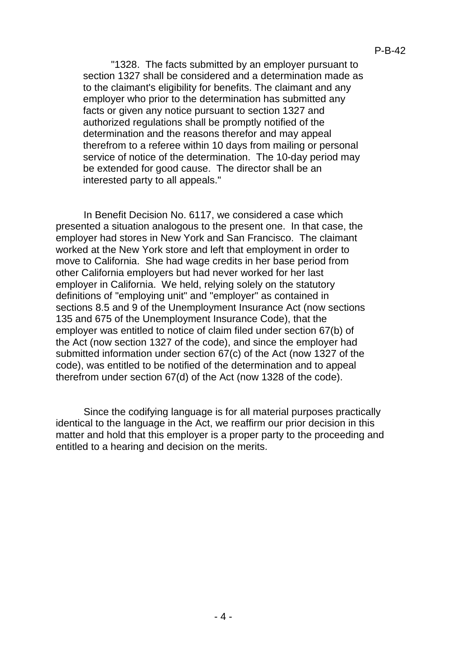"1328. The facts submitted by an employer pursuant to section 1327 shall be considered and a determination made as to the claimant's eligibility for benefits. The claimant and any employer who prior to the determination has submitted any facts or given any notice pursuant to section 1327 and authorized regulations shall be promptly notified of the determination and the reasons therefor and may appeal therefrom to a referee within 10 days from mailing or personal service of notice of the determination. The 10-day period may be extended for good cause. The director shall be an interested party to all appeals."

In Benefit Decision No. 6117, we considered a case which presented a situation analogous to the present one. In that case, the employer had stores in New York and San Francisco. The claimant worked at the New York store and left that employment in order to move to California. She had wage credits in her base period from other California employers but had never worked for her last employer in California. We held, relying solely on the statutory definitions of "employing unit" and "employer" as contained in sections 8.5 and 9 of the Unemployment Insurance Act (now sections 135 and 675 of the Unemployment Insurance Code), that the employer was entitled to notice of claim filed under section 67(b) of the Act (now section 1327 of the code), and since the employer had submitted information under section 67(c) of the Act (now 1327 of the code), was entitled to be notified of the determination and to appeal therefrom under section 67(d) of the Act (now 1328 of the code).

Since the codifying language is for all material purposes practically identical to the language in the Act, we reaffirm our prior decision in this matter and hold that this employer is a proper party to the proceeding and entitled to a hearing and decision on the merits.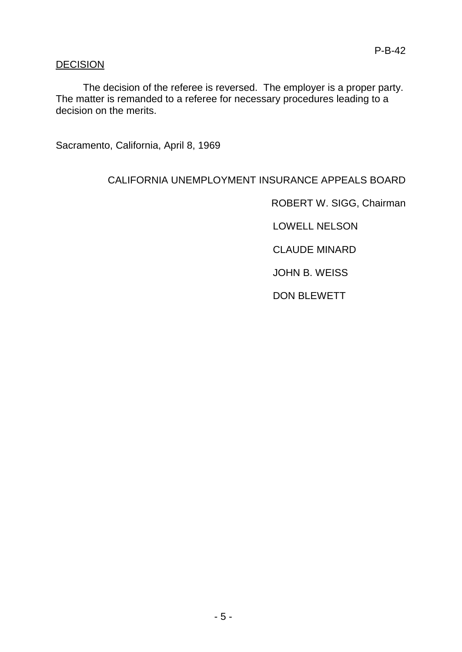## DECISION

The decision of the referee is reversed. The employer is a proper party. The matter is remanded to a referee for necessary procedures leading to a decision on the merits.

Sacramento, California, April 8, 1969

### CALIFORNIA UNEMPLOYMENT INSURANCE APPEALS BOARD

ROBERT W. SIGG, Chairman

LOWELL NELSON

CLAUDE MINARD

JOHN B. WEISS

DON BLEWETT